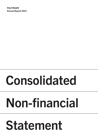PALFINGER Annual Report 2021

# Consolidated

# Non-financial

# Statement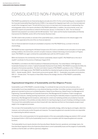# CONSOLIDATED NON-FINANCIAL REPORT

PALFINGER has published its non-financial key figures annually since 2013. For the current reporting year, in preparation for the Corporate Sustainability Reporting Directive (CSRD), it has replaced the integrated report with a non-financial statement as part of the management report. This will shift the focus more on to key topics and increase ease of understanding, thus ensuring greater clarity in the reports submitted to PALFINGER stakeholders. In addition, the environmental, social, and governance aspects are presented as a whole for the fiscal year January 1 to December 31, 2021. The non-financial statement was prepared in accordance with the GRI standards: "Core" option and the Austrian Sustainability and Diversity Improvement Act (NaDiVeG, section 267a of the Austrian Business Code).

The GRI content index provides an overview of the sustainability topics, contains references to the relevant pages in the report, and is appended at the end of this non-financial statement.

The non-financial statement includes all consolidated companies in the PALFINGER Group, as shown in the list of shareholdings.

PALFINGER has been supporting the UN Global Compact since 2013 and is committed to its ten principles on human rights, working conditions, the environment, and anti-corruption measures. Instead of disclosing a Communication on Progress report, PALFINGER once again combined the sustainability topics with the UN Principles in 2021.

Within the framework of its membership of the Austrian sustainability network respACT, PALFINGER took on the role of respACT coordinator for the province of Salzburg in August 2019.

PALFINGER is committed to the OECD Guidelines for Multinational Enterprises. The United Nations' 2030 Agenda for Sustainable Development contains 17 global Sustainable Development Goals (SDGs), PALFINGER incorporates the SDGs into all aspects of its business operations. The direct and indirect impacts of PALFINGER's operations on the 17 SDGs were discussed in a multi-stage process. PALFINGER has identified four development goals as being most relevant to its activities: SDG 5 – Gender equality, SDG 8 – Decent work and economic growth, SDG 12 – Sustainable consumption and production, SDG 13 – Climate action. The impacts on these SDGs influence the strategic direction of PALFINGER's sustainability management.

# Organizational Integration of Sustainability and Due Diligence Process

Sustainability is part of PALFINGER's corporate strategy. To coordinate the topic across the various business units, a Sustainability Council was established as a cross-divisional steering committee. Committee members include the heads of global and corporate functions such as Global Operations, Global Human Resources, Global Product Line Management & Engineering, Corporate Marketing and Corporate Governance, Risk Management & Compliance. Project management, monitoring of measures, meeting reporting requirements, and conducting the materiality analysis is supported by Corporate Governance, Risk Management & Compliance, while ideas for content and marketing activities are provided by Corporate Marketing. Coordination of the activities and data collection for reporting key figures are part of existing controlling processes. This ensures that sustainability issues are driven forward with clear objectives and that non-financial goals are given equal weight in the management processes.

The core task of the Sustainability Council is to formulate the sustainability strategy, define key figures and targets, determine measures, and continuously monitor the goals and measures. The respective global and corporate functions are responsible for implementing the defined measures.

The revision of the control parameters for full operationalization of this new sustainability strategy was started in 2021 and will be developed further in 2022 by the Sustainability Council in close consultation with the respective global and corporate functions.

The Sustainability Council reports directly to the Executive Board. Besides financial, operational, and strategic topics, the Executive Board regularly informs the Supervisory Board about current sustainability issues and the progress of sustainability activities so that the latter can fulfill its supervisory obligations.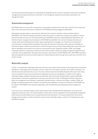The risks and opportunities arising from sustainability are integrated into the company's operations as well as the existing risk management processes and structures. Information on risk management systems and processes is described in the management report.

#### Stakeholdermanagement

PALFINGER takes into account the consequences of its operations along the entire value chain, not just for the company but also for the environment and society. To achieve this, PALFINGER proactively engages its stakeholders.

Stakeholders are legal entities or natural persons affected by the company's activities or whose activities influence PALFINGER. Their individual interests and needs are taken into account in a way that is as balanced as possible. In order to take their interests into account in the best possible way, PALFINGER conducts an ongoing dialog with stakeholders. The interests of senior management and employees at PALFINGER are identified in the course of employee interviews and surveys, performance & development reviews, regular meetings with line managers, etc. Continuous and transparent communication is maintained with shareholders and lenders at events and in discussions with customers and dealers at international dealer conferences and trade fairs, as well as through surveys and direct dialog. Additionally, they are kept up to date via newsletters and involved in the continuous improvement process. Dialog with suppliers, OEMs, and strategic cooperation partners is conducted at conferences and in direct contacts, delivery and quality management agreements are concluded, visits to stakeholders' sites take place and they are also invited to visit PALFINGER's sites. PALFINGER maintains a lively exchange with the local community through local media activities as well as through events, plant tours, and other forms of direct contact.

## Materiality analysis

In 2021, a comprehensive materiality analysis was carried out and material environmental, social and governance issues were identified in a multi-stage process. Employee concerns, respect for human rights, prevention of corruption and bribery, and diversity issues were also taken into account. The various relevant topics were identified along the entire value chain, taking into account global trends as well as requirements regarding current issues and legislation. In addition to the ongoing stakeholder dialog, qualitative interviews were conducted with internal and external stakeholders as well as stakeholder representatives to ascertain the significance of the topics from their point of view. The Management Board, Supervisory Board, top management and employees, shareholders and debt investors, customers and dealers, suppliers, OEMs, and strategic cooperation partners were surveyed. The interviews were weighted according to the influence on PALFINGER and the interest in PALFINGER of the respective stakeholders, with all stakeholder groups giving extremely homogeneous answers.

In the course of the materiality analysis, eleven relevant aspects were identified with the stakeholders, which were then assigned to six key topic areas. The internal validation of these topics and their integration into the sustainability strategy were performed by the Sustainability Council and approved by the Executive Board. The measures defined from the previous strategy were terminated or, if still in line with the outcome of the materiality analysis, continued. The following topics were identified as material: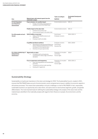#### PALFINGER ANNUAL REPORT 2021 CONSOLIDATED NON-FINANCIAL STATEMENT

|                                   |                                                                                                                                       | Topics according to             | <b>Sustainable Development</b> |  |
|-----------------------------------|---------------------------------------------------------------------------------------------------------------------------------------|---------------------------------|--------------------------------|--|
| Area                              | Material topics with relevant aspects from the<br>stakeholder analysis                                                                | <b>NaDiVeG</b>                  | Goals                          |  |
| For the living planet             | Fewer emissions, for a positive impact                                                                                                | Environmental concerns          | <b>SDG 13</b>                  |  |
| we all depend on<br>(Environment) | Energy consumption and emissions in<br>$\circ$<br>production and at PALFINGER sites                                                   |                                 |                                |  |
|                                   | Positive impact on the value chain                                                                                                    | Environmental concerns          | <b>SDG13</b>                   |  |
|                                   | Emissions from product use<br>$\circ$                                                                                                 |                                 |                                |  |
|                                   | Environmental impact in the value chain<br>$\Omega$                                                                                   |                                 |                                |  |
| For all the people we touch       | Safe & healthy on every level                                                                                                         | Social issues                   | SDG 8, SDG 13                  |  |
| (Social)                          | Safety of PALFINGER products and<br>$\circ$<br>applications                                                                           | Employee concerns               |                                |  |
|                                   | Employee health and safety<br>$\circ$                                                                                                 |                                 |                                |  |
|                                   | A qualified and diverse workforce                                                                                                     | Employee concerns               | SDG 5, SDG 8                   |  |
|                                   | Attracting and retaining experts/talents as<br>$\circ$<br>well as employee development including<br>training and continuing education | Social issues<br>Diversity Plan |                                |  |
|                                   | Diversity and equal opportunities<br>$\circ$                                                                                          |                                 |                                |  |
| For a future-oriented way of      | Aligned with our values                                                                                                               | Prevention of corruption        | SDG <sub>8</sub>               |  |
| doing business<br>(Governance)    | Compliance with and leadership<br>$\Omega$<br>commitment to values, legal, and ethical<br>standards                                   | and bribery<br>Human rights     |                                |  |
|                                   | Focus on governance and transparency                                                                                                  | Prevention of corruption        | SDG 8, SDG 12                  |  |
|                                   | Clear internal guidelines and standardized<br>$\circ$<br>processes                                                                    | and bribery<br>Human rights     |                                |  |
|                                   | Transparency and accurate reporting<br>$\circ$                                                                                        |                                 |                                |  |
|                                   | Dealing with megatrends<br>$\circ$                                                                                                    |                                 |                                |  |
|                                   |                                                                                                                                       |                                 |                                |  |

# Sustainability Strategy

Sustainability is of particular importance in the vision and strategy for 2030. The Sustainability Council, created in 2021, ensures that PALFINGER takes account of environmental, social, and governance issues in addition to economic aspects in all business processes. This means that sustainability is not just a challenge or a risk for PALFINGER. In fact, responsible, sustainable business is an opportunity and a value driver, and opens doors to new business segments, growth, and greater differentiation. The most important basis for defining the sustainability strategy is the analysis of the value chain and the material topics identified in the materiality analysis with regard to their influence on people, the environment, and the economy.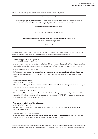PALFINGER's Sustainability Mission Statement, which was reformulated in 2021, states:

Driving Positive Impact

Responsibility for people, planet and profit is a major part of the way we work. We continue to break new ground of **business opportunities with positive impact** together with our customers, partners, and investors.

Our **employees are the backbone** and driving

force to transform and overcome future challenges.

Proactively contributing to minimize and manage the impact of climate change hand

in hand will guarantee lasting success.

Because we care!

The eleven relevant aspects of the stakeholder analysis were assigned to six key topic areas, with two each falling into the areas of environment, social affairs, and governance. The six strategic topic areas are described here.

#### For the living planet we all depend on.

LESS EMISSIONS FOR POSITIVE IMPACT

As part of the global movement in industry, we make lower CO<sub>2</sub> emissions one of our priorities. That's why our operations are increasingly powered by renewable energy and characterized by efficient material use - to deliver positive impact.

#### POSITIVE IMPACT ON THE VALUE CHAIN

To effect change in our value chain, we are engineering our entire range of product solutions to reduce emissions and enable low-carbon innovation. We're also working to become an integrated solutions provider for partners across the network.

#### For all the people we touch.

SAFE & HEALTHY AT ALL LEVELS

Safety in our operations, a healthy work culture as well as safety of our products are critical priorities. The well-being of our employees and customers are crucial to our success.

#### A QUALIFIED & DIVERSE WORKFORCE

To innovate in a global economy, we need to attract and retain the best people - in our leadership and throughout the organization. This includes continuous training and personal development. At PALFINGER, we see diversity as a source of excellence and strength - and of business success.

#### For a future-oriented way of doing business.

COMMITTED TO OUR VALUES

To change our direction towards the sustainable, we must go beyond the baseline and strive for the highest human,

#### ethical, and legal standards.

FOCUS ON GOVERNANCE AND TRANSPARENCY

For the change to last, we must evolve our business to meet the demands of a sustainable economy. This calls for the highest standards of governance and transparency for a better way of doing business.

The development of the new sustainability strategy was followed in 2021 by the derivation of non-financial targets for the three areas of environment, social affairs, and governance (ESG). These cover all NaDiVeG (Austrian Sustainability and Diversity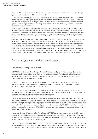Improvement Act) concerns (environmental, social and employee concerns, as well as respect for human rights, the fight against corruption and bribery, and the diversity concept).

In the area of the environment, PALFINGER has set itself the goal of generating fewer emissions in order to have a positive impact. The focus is on reducing energy consumption and emissions in production and at PALFINGER sites. The second aspect defined is the positive impact along the entire value chain. This will be achieved by reducing emissions in product application and, among other things, by increasing the use of renewable sources of electricity in terms of environmental impact along the entire value chain.

Safety in the use of PALFINGER products as well as the health and safety of employees are key issues in the social area. Health and safety are measured by the TRIR (Total Recordable Injury Rate). A second focus in this area is the promotion of qualified and diverse employees. Attracting and retaining experts and talents as well as employee development, including training and continuing education, taking into account equal opportunities, and increasing diversity are key cornerstones here.

Governance includes compliance with PALFINGER's values. In this context, the focus is on compliance with and leadership commitment to our values as well as legal and ethical standards. PALFINGER's approach to megatrends as well as the creation of clear internal guidelines and standardized processes are in the area of focus on governance and transparency. This also includes the central aspect of transparent and correct reporting, which underlies all of PALFINGER's activities.

At PALFINGER, targets are defined on a Group-wide basis by the respective specialist department and the Sustainability Council, while the respective corporate/global function is responsible for implementing the measures. The effectiveness of the measures taken is monitored on an ongoing basis in order to ensure that the targets are achieved at the Group level

# For the living planet on which we all depend

### Less emissions, for positive impact

PALFINGER strives to work as efficiently as possible in production, both ecologically and economically, attaches great importance to climate protection and therefore intensively addresses the issue of emissions arising from its own energy consumption that may have an effect on the climate. The focus here is therefore on emissions in production and at PALFINGER sites as well as on energy consumption.

The Health, Safety & Environment (HSE) department manages eco-efficient production within the Global Function Operations. The group policy package on HSE topics was developed or updated in 2021. The update of PALFINGER's environmental protection guideline will be finalized in 2022.

PALFINGER is pursuing the long-term goal of reducing production-related CO2 emissions across the Group. Formulation of a climate strategy was started in the reporting year and will be completed in 2022. The climate strategy is being developed on the basis of the science-based target initiative for a 1.5-degree economy.

From a process perspective, production consumes the most energy across the PALFINGER Group, with paint shops and electroplating facilities the most energy-intensive. All other production processes consume comparatively moderate amounts of energy, primarily for heating and ventilating the production halls. The centrally recorded fuel consumption is included in the presentation of energy efficiency. A large percentage of transport is not performed by PALFINGER itself but outsourced to logistics companies. The transport mix at PALFINGER consists mainly of trucks and ships (which means that these transport emissions do not fall under Scope 1).

In order to continuously drive the reduction of emissions at PALFINGER's sites, energy consumption was identified as one of the relevant control variables in addition to the survey of Scope 1 and Scope 2 emissions. Following the Covid-19 induced decrease in 2020, absolute energy consumption increased to 222 million kWh in 2021 (2020: 195 million kWh). Most of the energy consumption was generated in the EMEA region.

PALFINGER reports internal production-related CO2 emissions (Scope 1 and 2) in two categories: direct emissions from fuels and indirect emissions from electricity and district heating. In 2021, PALFINGER caused 20,160 tonnes of CO2 equivalents (2020: 18,420 tonnes of CO2 equivalents) in direct emissions from fuels - natural gas, diesel, gasoline, LPG, butane, propane,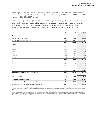and heating oil. The increased absolute CO2 emissions reflect the higher production-related heat consumption. In terms of indirect emissions (Scope 2 "market-based") from electricity and district heating, PALFINGER caused 11,044 tonnes of CO2 equivalents in 2021 (2020: 12,376 tonnes).

The Group-wide target of increasing the share of renewable electricity to 75 percent by 2022 was achieved in 2021. The switch of all German sites and one site in Brazil to energy from renewable sources increased the share of green electricity Group-wide to 76.4 percent (2020: 73.5 percent). As a result of the sharp decline in the previous year due to Covid-19, absolute emissions increased slightly again in 2021 to 31,204 tonnes of CO2 equivalents (2020: 30,796 tonnes).

|              | 2020     | 2021                                                                                                                                                                                                                           |
|--------------|----------|--------------------------------------------------------------------------------------------------------------------------------------------------------------------------------------------------------------------------------|
|              |          |                                                                                                                                                                                                                                |
| 79.124       | 77.953   | 95.489                                                                                                                                                                                                                         |
| 36.724       | 28.098   | 29.488                                                                                                                                                                                                                         |
| 115,848      | 106.051  | 124.977                                                                                                                                                                                                                        |
|              |          |                                                                                                                                                                                                                                |
| 67.380       | 61.940   | 68.216                                                                                                                                                                                                                         |
| 3.372        | 3.214    | 3.201                                                                                                                                                                                                                          |
| 873          | 895      | 905                                                                                                                                                                                                                            |
| 3.765        | 4.203    | 5.190                                                                                                                                                                                                                          |
| 468          | 408      | 1.434                                                                                                                                                                                                                          |
| 5.328        | 4.980    | 4.883                                                                                                                                                                                                                          |
| 81.186       | 75.640   | 83.829                                                                                                                                                                                                                         |
|              |          |                                                                                                                                                                                                                                |
| 14.639       | 12.376   | 12.302                                                                                                                                                                                                                         |
| 1.723        | 1.304    | 1.206                                                                                                                                                                                                                          |
| $\mathbf{0}$ | $\Omega$ | $\Omega$                                                                                                                                                                                                                       |
| 16.362       | 13.679   | 13.508                                                                                                                                                                                                                         |
| 213.397      | 195.371  | 222.315                                                                                                                                                                                                                        |
|              |          |                                                                                                                                                                                                                                |
| 2019         | 2020     | 2021                                                                                                                                                                                                                           |
| 20.168       | 18.420   | 20.160                                                                                                                                                                                                                         |
| 16.421       | 12.376   | 11.044                                                                                                                                                                                                                         |
| 36.588       | 30.796   | 31.204                                                                                                                                                                                                                         |
|              |          | 1) The conversion of direct and indirect CO2 equivalents is largely based on the IFA 2018 database, reference year 2016. Emissions data include carbon dioxide (CO2), methane (CH4), and nitrous oxide (N2O), as well as the c |

1) The conversion of direct and indirect CO2 equivalents is largely based on the IEA 2018 database, reference year 2016. Emissions data include carbon dioxide (CO2), methane (CH4), and nitrous oxide (N2O), as well as the c oil are from the Federal Environment Agency Austria. The conversion for coal as an energy source is based on the specific carbon content (Scope 1). The district heating conversion factors are country-specific and come dire supplier.

With regard to data collection, it should be noted that companies or sites acquired or established during the reporting year are not required to report environmental data until the beginning of the following year. Due to t of the key figures are given in the section on key figure definitions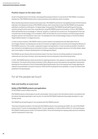# Positive impact on the value chain

As part of the global trend in the industry, reducing greenhouse gas emissions is a top priority for PALFINGER. In its product development, PALFINGER therefore aims to reduce emissions and enable low-carbon innovation.

When ascertaining emissions along the entire value chain, PALFINGER found that the most significant share of CO2 emissions originates in the deployment phase of PALFINGER products, which means that it is here that PALFINGER has the greatest potential to contribute to achieving the 1.5-degree target. Consequently, PALFINGER has set itself the goal of reducing emissions along the entire value chain, especially when using PALFINGER products and solutions. In future, PALFINGER's efforts will therefore focus increasingly on "external" emissions, in particular from product use. The development of the new comprehensive climate strategy, to be completed in 2022, will also take into account emissions and CO2 savings potential along the upstream and downstream value chain. The development of the climate strategy is based on the Science-Based Target initiative towards a 1.5-degree economy.

In order to reduce emissions, PALFINGER invests in product research and development and offers state-of-the-art technologies. Research and development as well as innovations and digital solutions are aimed at increasing the efficiency of PALFINGER's products. In this context, cooperations support new approaches. In order to bundle all activities in the field of new mechatronic and digital products and product functions, a separate work program was set up. For further details, please refer to the chapter on research & development in the Management Report.

PALFINGER can also influence the environmental impact in the value chain by committing suppliers to comply with the criteria set out in the Code of Conduct, which also describe minimum standards in the environmental sector.

In 2021, PALFINGER started to revise the process for collecting emissions in the upstream or downstream value chain (Scope 3 emissions). The revision will be further processed in 2022, taking into account the expected new regulatory requirements resulting from the publication of the EU Sustainability Reporting Standards. Due to the expected new change regarding the collection and presentation of scope 3 emissions in 2022 and the resulting lack of comparability, no scope 3 emissions were published in the reporting year.

# For all the people we touch

### Safe and healthy on every level

#### Safety of PALFINGER products and applications

At PALFINGER, product safety comes first.

PALFINGER products combine ease of use with utmost safety. They are sold on the international market in accordance with the relevant standards applicable in each country. It is vital that PALFINGER implements these safety standards in a userfriendly manner.

PALFINGER has set itself the goal of "zero accidents with PALFINGER products".

There were 9 reported accidents in the field with PALFINGER products in the reporting year (2020: 14). Use of PALFINGER products led to 7 injuries of varying degrees (2020: 12) and, regrettably, to 3 fatal accidents (2020: 3). In the reporting year, PALFINGER initiated product recalls in 20 instances (2020: 14) as internal testing and ongoing quality assurance revealed a need for improvement in each case.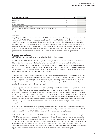| <b>Accidents with PALFINGER products</b>                                                         | 2019 | 2020 | 2021 |
|--------------------------------------------------------------------------------------------------|------|------|------|
| Reported accidents                                                                               | 18   | 14   | 9    |
| Fatalities <sup>1)</sup>                                                                         | 10   |      | 3    |
| Injuries of varying severity $1$                                                                 |      | 12   |      |
| Penalties imposed by court due to accidents                                                      |      |      |      |
| Pending complaints (in negotiation) on grounds of accidents with products (as at December<br>13) |      |      | 5    |
| Convictions                                                                                      |      |      |      |

1) Irrespective of fault.

In reporting year 2021 there were no convictions of PALFINGER for non-compliance with safety regulations. Irrespective of the question of fault, PALFINGER nevertheless examines all incidents involving PALFINGER products in which persons are injured. The majority of these incidents stem from errors in operation, as a result of which no legal claims can be brought against PALFINGER. In these cases, a good network, and an understanding of safety awareness in the countries concerned are a prerequisite for PALFINGER's being notified of these incidents. All accident-related information is then evaluated internally. All PALFINGER products are assessed with regard to their effects on the health and safety of the operators, and any opportunities for further development identified in the course of these assessments are continuously implemented.

#### Employee health and safety

PALFINGER attaches the utmost importance to the health and safety of its employees.

In the GLOBAL PALFINGER ORGANIZATION, the global health program PALfit has been placed under the umbrella of the global function Human Resources, while the other safety issues relating to HSE are incorporated in the global function Operations. The management of occupational health and safety aspects at PALFINGER is governed by ISO 45001 (OHSAS 18001) and the corresponding certifications. In 2021, 43 percent (2020: 40 percent) of the employees worked at sites with this certification. From 2022 onwards, cross-site certifications will be aimed at, which means that the corresponding control will also be evaluated in the area of safety and adjusted, if necessary.

In the area of safety, PALFINGER has set itself the goal of reducing work-related accidents with injuries to a minimum. This is controlled on the basis of the Total Recordable Injury Rate (TRIR), which measures work-related accidents with injuries per 1 million working hours. Through a targeted program of measures, the TRIR was significantly reduced to 11.74 in 2021 (2020: 14.23). There were no fatalities caused by occupational accidents in the reporting year (2020: 0 fatalities). In 2022, accident reporting will be relaunched to further improve data quality.

When starting work, employees receive a documented safety briefing on workplace hazards and risks as part of their general induction training. These safety briefings are repeated at regular intervals, when procedures and workplaces are changed, and on an ad hoc basis, e.g., in the event of accidents. The project to introduce a learning management system (LMS), which was started in 2020, was successfully completed in 2021. In the future, workplace and activity-related safety training will also be organized and made available online via this LMS. PALFINGER strives to continuously improve safety training. To this end, employees are represented at regular occupational safety committee meetings, at which, in addition to safety experts and occupational physicians, safety officers and the works council represent the interests of employees and ensure their participation.

In 2021, a Group-wide standard was drawn up that regulates a defined catalog of services as well as time specifications for the scope of occupational medical care depending on the number of employees at the sites. This ensures that occupational health care is available to every PALFINGER employee worldwide, irrespective of legal requirements.

The COVID-19 pandemic also showed that PALFINGER focuses on health and safety. A COVID-19 task force was set up for COVID-19 pandemic management, a stage plan was developed with safety levels for the operating sites, depending on the current pandemic situation, and a group guideline with the corresponding measures was drawn up. The central COVID-19 task force proactively manages the topic globally, initiates ongoing improvements to packages of measures and works in close coordination with the local task forces. These take into account the local legal framework in their decisions within the framework of the global requirements. Global contacts and initiatives have been defined within the framework of the program (e.g., in Austria: vaccination offers, temperature measurements and access controls in the operating sites).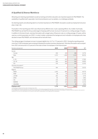# A Qualified & Diverse Workforce

Attracting and retaining experts/talent as well as training and further education are important aspects for PALFINGER. The availability of qualified staff, especially in technical professions such as welders, is a challenge worldwide.

As retaining experts and attracting talent is of central importance to PALFINGER, fluctuation as well as employment structure play a major role.

Fluctuation in the reporting year 2021 was influenced by different and, in part, opposing effects. As a matter of principle, PALFINGER has set itself the Group-wide target of keeping staff turnover at around 15 percent on a rolling average of 3 years. In addition to this benchmark, voluntary fluctuation with a target value of 8 percent, also on a rolling average of 3 years, will be used as a control parameter as of 2021. In order to better understand the background and motivation of employees who have decided to leave PALFINGER, exit interviews will be held with them.

The rolling average of employee turnover increased slightly from 14.7 to 17.5 percent in 2021. During the reporting period, more than 2,000 employees were employed following the positive business development. Voluntary fluctuation was surveyed from 2021 and amounts to 5.5 percent of the total number of employees in the financial year.

| Number and percent                  | 2019  | 2020  | 2021  | $%^{1}$ |
|-------------------------------------|-------|-------|-------|---------|
| Gender                              |       |       |       |         |
| Female                              | 206   | 229   | 286   | 15.7%   |
| Male                                | 1,573 | 1,382 | 1,533 | 84.3%   |
| Age                                 |       |       |       |         |
| $0 - 29$                            | 527   | 473   | 505   | 27.8%   |
| $30 - 50$                           | 936   | 845   | 906   | 49.8%   |
| $50+$                               | 316   | 293   | 408   | 22.4%   |
| Voluntary fluctuation <sup>2)</sup> |       |       |       |         |
| PALFINGER Group                     | N/A   | 0     | 550   | 30.2%   |
| Regions                             |       |       |       |         |
| <b>EMEA</b>                         | 1,003 | 805   | 814   | 44.7%   |
| <b>NAM</b>                          | 48    | 63    | 383   | 21.1%   |
| LATAM                               | 262   | 258   | 122   | 6.7%    |
| APAC                                | 95    | 86    | 15    | 0.8%    |
| <b>CIS</b>                          | 135   | 143   | 216   | 11.9%   |
| <b>MARINE</b>                       | 171   | 220   | 221   | 12.1%   |
| <b>HOLDING</b>                      | 65    | 36    | 48    | 2.6%    |
| Employee $ext{exists}^{3}$          | 1,779 | 1,611 | 1,819 | 17.1%   |

1) The key figure is related to the total number of employee exits in 2021.

2) For integrated SuccessFactors companies only. Includes self-termination, self-termination during probationary period, unauthorized self-termination, voluntary termination.

3) The employee exits, and the following tables represent the key employee figures of the PALFINGER Group. With regard to the collection of the key figures, it should be noted that companies or sites acquired or<br>establishe

60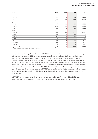| Number and percent      | 2019  | 2020  | 2021  | %1)   |
|-------------------------|-------|-------|-------|-------|
| Gender                  |       |       |       |       |
| Female                  | 279   | 179   | 335   | 14.1% |
| Male                    | 2,067 | 969   | 2,035 | 85.9% |
| Age                     |       |       |       |       |
| $0 - 29$                | 907   | 452   | 848   | 35.8% |
| $30 - 50$               | 1,216 | 597   | 1,282 | 54.1% |
| $50+$                   | 223   | 99    | 240   | 10.1% |
| Regions                 |       |       |       |       |
| <b>EMEA</b>             | 1,144 | 592   | 1,179 | 49.7% |
| <b>NAM</b>              | 404   | 108   | 401   | 16.9% |
| LATAM                   | 143   | 168   | 251   | 10.6% |
| APAC                    | 33    | 8     | 9     | 0.4%  |
| <b>CIS</b>              | 191   | 136   | 308   | 13.0% |
| <b>MARINE</b>           | 406   | 108   | 166   | 7.0%  |
| <b>HOLDING</b>          | 25    | 28    | 56    | 2.4%  |
| <b>Employee entries</b> | 2,346 | 1,148 | 2,370 | 22.3% |

1) The ratio is based on the total number of employees entering the company in 2021.

In order to find and retain experts in the long term, PALFINGER focuses on staff development and comprehensive training and further education measures. In 2021, the following measures were implemented: Global introduction of the Performance & Development Review process in a uniform tool, expansion of e-learning for all employees, go-live of the global learning management system as a technical basis bundling all future learning, development activities and measures in one system environment, as well as management development programs, the group policy on mobile working and thus the promotion of flexibility and a better life balance. Furthermore, PALFINGER attaches great importance to apprenticeship training, primarily in but also outside Austria, and invested in a new PALFINGER Campus in 2021 in order to significantly increase the number of apprentices and to continue the success story of PALFINGER apprenticeship training. The training program in China was also successfully completed once again, in which Chinese apprentices completed dual apprenticeship training based on the Austrian model.

PALFINGER is an important employer in various regions. As at year-end 2021, 11,733 persons (2020: 10,824) were employed by PALFINGER. In addition, 612 (2020: 383) temporary workers were employed as at year-end 2021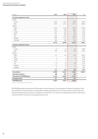| Number                          | 2019           | 2020        | 2021           | $\frac{9}{2}$ |
|---------------------------------|----------------|-------------|----------------|---------------|
| Permanent employment contract   |                |             |                |               |
| Gender                          |                |             |                |               |
| Female                          | 1.446          | 1.414       | 1.508          | 13,3%         |
| Male                            | 9.279          | 9.051       | 9.771          | 84,9%         |
| Regions                         |                |             |                |               |
| <b>EMEA</b>                     | 5.742          | 5.744       | 6.305          | 55,9%         |
| <b>NAM</b>                      | 1.079          | 998         | 1.026          | 9,1%          |
| LATAM                           | 497            | 600         | 747            | 6,6%          |
| APAC                            | 271            | 268         | 256            | 2,3%          |
| <b>CIS</b>                      | 1.544          | 1.397       | 1.494          | 13,2%         |
| <b>MARINE</b>                   | 1.236          | 1.076       | 1.032          | 9,1%          |
| <b>HOLDING</b>                  | 356            | 382         | 419            | 3,7%          |
|                                 | 10.725         | 10.465      | 11.279         | 98,0%         |
| Temporary employment contract   |                |             |                |               |
| Gender                          |                |             |                |               |
| Female                          | 13             | 14          | 20             | 8,8%          |
| Male                            | 200            | 136         | 206            | 91,2%         |
| Regions                         |                |             |                |               |
| <b>EMEA</b>                     | 172            | 100         | 150            | 66,4%         |
| <b>NAM</b>                      | $\mathbf 1$    | $\mathbf 1$ | $\overline{0}$ | 0,0%          |
| LATAM                           | $\mathbf 0$    | 0           | $\overline{0}$ | 0.0%          |
| APAC                            | $\mathbf{1}$   | $\mathbf 0$ | $\overline{2}$ | 0,9%          |
| <b>CIS</b>                      | 23             | 32          | 49             | 21,7%         |
| <b>MARINE</b>                   | 14             | 14          | 21             | 9,3%          |
| <b>HOLDING</b>                  | $\overline{c}$ | 3           | $\overline{4}$ | 1,8%          |
|                                 | 213            | 150         | 226            | 2,0%          |
| Core workforce                  | 10.938         | 10.615      | 11.505         | 100,0%        |
| Apprentices and interns         | 188            | 209         | 228            |               |
| Total workforce PALFINGER group | 11.126         | 10.824      | 11.733         |               |
| <b>Contingent workers</b>       | 571            | 383         | 612            |               |
| <b>PALFINGER Group</b>          | 11.697         | 11.207      | 12,345         |               |

1) The ratio is in relation to the total number of employees in 2021.

PALFINGER generally has permanent staff members, with the headcount not being subject to seasonal fluctuations. Fixedterm employment contracts (beyond a locally defined probationary period) are not common apart from some project work, professional internships, and in interim management. In fiscal 2021, 97.1 percent of employees were full-time, while around 2.9 percent (2020: 3.3 percent) of employees were part-time.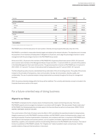| Number               | 2019   | 2020   | 2021   | %1)    |
|----------------------|--------|--------|--------|--------|
| Full-time employment |        |        |        |        |
| Gender               |        |        |        |        |
| Female               | 1.268  | 1.251  | 1.362  | 12,2%  |
| Male                 | 9.301  | 9.016  | 9.807  | 87,8%  |
|                      | 10.569 | 10.267 | 11.169 | 97,1%  |
| Part-time employment |        |        |        |        |
| Gender               |        |        |        |        |
| Female               | 191    | 177    | 166    | 49,4%  |
| Male                 | 178    | 171    | 170    | 50,6%  |
|                      | 369    | 348    | 336    | 2,9%   |
| Core workforce       | 10.938 | 10.615 | 11.505 | 100,0% |

1) The ratio is in relation to the total number of employees in 2021.

PALFINGER aims to find the best person for each position. Diversity and equal opportunities play a key role in this.

PALFINGER is committed to measurable diversity targets and abides by the relevant indicators. The objectives are to increase the proportion of non-Austrians at headquarters in Bergheim to 20 percent, and to align the percentage of women in senior management with the percentage of women in the PALFINGER Group overall.

At the end of 2021, 30 percent of the members of PALFINGER AG's Supervisory Board were women (2020: 20.0 percent) and no women were members of the Management Board. At year-end 2021, 7.2 percent (2020: 8.1 percent) of the positions in the Global Management Team were held by women. The general proportion of women at PALFINGER was 13.3 percent in 2021 (2020: 13.7 percent). The share of international staff at headquarters was 20.7 percent (2020: 18.7 percent).

The Recruiting Group policy ensures a standardized Group-wide state-of-the-art recruiting process. The quality of the process is based on the principles of transparency, clear communication, fair play, fair remuneration, diversity, quality, and confidentiality. The use of a potential analysis is being implemented successively throughout the Group for management functions.

2022, the previous diversity strategy within the Group will be redefined. The currently valid diversity concept is included in the Corporate Governance section of the report.

# For a future-oriented way of doing business

#### Aligned to our Values

PALFINGER's employees live the company values of entrepreneurship, respect and learning every day. That is why PALFINGER supports and encourages its employees in accordance with the tagline: "We value people. People create value." At PALFINGER, the following leadership principles apply to the Executive Board as well as to all executives: DRIVE. FOCUS. INSPIRE. EMPOWER. DEVELOP. DELIVER.

The current version of the Code of Conduct came into effect in 2021 and defines the essential principles for doing business. Integrity is paramount in all of PALFINGER's business activities, and PALFINGER's values of entrepreneurship, respect, and learning are essential. Proactive implementation of standards, and compliance with them, is important to PALFINGER and is also expected of all employees and business partners, such as suppliers and dealers. Agreements with employees, dealerships, suppliers, and cooperation partners include binding references to the PALFINGER Code of Conduct. This Code of Conduct is published on PALFINGER's website. The "Integrity Line" makes it possible to report, anonymously, if need be, possible violations of laws and internal policies or misconduct.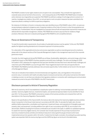PALFINGER considers human rights violations and corruption to be unacceptable. They contradict the organization's corporate values and are harmful to the economy – and consequently also to PALFINGER. PALFINGER takes immediate action whenever any irregularities are suspected. PALFINGER has defined a catalog of multi-stage actions to prevent or, if need be, investigate any violations. Since 2021, an annual report on anti-corruption measures has been submitted to the Supervisory Board, enabling it to fulfill its supervisory obligations.

No instances of child labor or forced or compulsory labor were identified at any of PALFINGER's sites in 2021, nor were any young employees subjected to dangerous work. Suspected violations of the Code of Conduct or other Group guidelines are evaluated and, if substantiated, they are investigated by Corporate Internal Audit and appropriate improvement measures are defined with the responsible management. Likewise, PALFINGER did not have to pay any fines for violations of legal provisions. Moreover, there are no lawsuits pending against PALFINGER for anti-competitive behavior.

## Focus on Governance & Transparency

To meet the transformation requirements, the principles of sustainable business must be applied. To this end, PALFINGER applies the highest reporting standards and a transparent approach to business practice.

For a description of the organizational structure and process organization as well as corporate governance & compliance, please refer to the relevant sections of the Corporate Management chapter in the management report and to the corporate governance report.

Currently, the chief megatrends facing PALFINGER are as follows: Sustainability, digitalization, and social change, which have a significant impact on PALFINGER's business operations and entail many challenges. The vision and strategy for 2030 formulated in 2021 addresses the megatrends that have been identified and describes how to deal with these challenges and make them part of PALFINGER's success through 2030. These megatrends lead to both risks and opportunities for PALFINGER. PALFINGER proactively addresses risks and seizes opportunities. Further details can be found in the risk report of the Management Report.

There are no indications that violations of environmental laws and regulations, laws, and regulations in the social and economic area, in connection with health and safety impacts of products and services, with product and service information or labeling occurred, nor are there any indications that regulatory violations in connection with marketing and communication measures occurred on the part of PALFINGER in the 2021 financial year.

# Disclosure pursuant to Article 8 Taxonomy Regulation

With the EU taxonomy, the EU has established a classification system for defining "environmentally sustainable" business activities. Taxonomy-eligible revenues, investments (CapEx), and operational expenses (OpEx) must be identified for fiscal year 2021. For this purpose, PALFINGER conducted an analysis of the business activities and compared them with the descriptions in the Taxonomy Regulation (TaxonomieVO).

Based on the specifications of the TaxonomieVO, the revenue ratio is the revenue from taxonomy-eligible business activities shown in proportion to the Group's total revenue in accordance with IAS 1.82a. To calculate the CapEx ratio, the total additions (before depreciation, amortization and impairment, impairment losses, and revaluations) of intangible assets and property, plant, and equipment, including additions from right-of-use in accordance with IFRS 16, are included in the denominator. Additions resulting from business combinations are included in the CapEx. In addition to capitalized expenses for assets from taxonomy-eligible revenue, the numerator also includes expenses for the purchase of products from taxonomy-compliant business activities and individual measures to reduce greenhouse gas emissions which were implemented and put into operation within 18 months. To determine the CapEx numerator, the existing Group-wide reporting system was expanded. Both the revenue key figure and the CAPEX key figure can be found in the tables below.